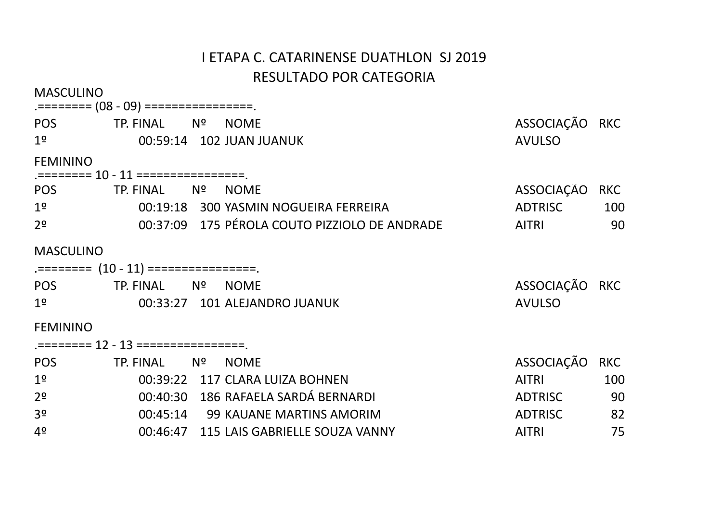| <b>MASCULINO</b> |                                         |    |                                               |                |            |
|------------------|-----------------------------------------|----|-----------------------------------------------|----------------|------------|
| POS              | TP. FINAL                               | Nº | <b>NOME</b>                                   | ASSOCIAÇÃO RKC |            |
| 1 <sup>°</sup>   |                                         |    | 00:59:14 102 JUAN JUANUK                      | <b>AVULSO</b>  |            |
| <b>FEMININO</b>  |                                         |    |                                               |                |            |
|                  | .======== 10 - 11 =================     |    |                                               |                |            |
| <b>POS</b>       | TP. FINAL                               | Nº | <b>NOME</b>                                   | ASSOCIAÇÃO     | <b>RKC</b> |
| 1 <sup>o</sup>   |                                         |    | 00:19:18 300 YASMIN NOGUEIRA FERREIRA         | <b>ADTRISC</b> | 100        |
| 2 <sup>o</sup>   |                                         |    | 00:37:09 175 PÉROLA COUTO PIZZIOLO DE ANDRADE | <b>AITRI</b>   | 90         |
| <b>MASCULINO</b> |                                         |    |                                               |                |            |
|                  | .========= (10 - 11) =================. |    |                                               |                |            |
| <b>POS</b>       | TP. FINAL                               | Nº | <b>NOME</b>                                   | ASSOCIAÇÃO RKC |            |
| 1 <sup>°</sup>   |                                         |    | 00:33:27 101 ALEJANDRO JUANUK                 | <b>AVULSO</b>  |            |
| <b>FEMININO</b>  |                                         |    |                                               |                |            |
|                  | .======== 12 - 13 =================     |    |                                               |                |            |
| POS              | TP. FINAL                               | Nº | <b>NOME</b>                                   | ASSOCIAÇÃO     | <b>RKC</b> |
| 1 <sup>°</sup>   |                                         |    | 00:39:22 117 CLARA LUIZA BOHNEN               | <b>AITRI</b>   | 100        |
| 2 <sup>o</sup>   |                                         |    | 00:40:30 186 RAFAELA SARDÁ BERNARDI           | <b>ADTRISC</b> | 90         |
| 3 <sup>o</sup>   |                                         |    | 00:45:14 99 KAUANE MARTINS AMORIM             | <b>ADTRISC</b> | 82         |
| 4 <sup>o</sup>   |                                         |    | 00:46:47 115 LAIS GABRIELLE SOUZA VANNY       | <b>AITRI</b>   | 75         |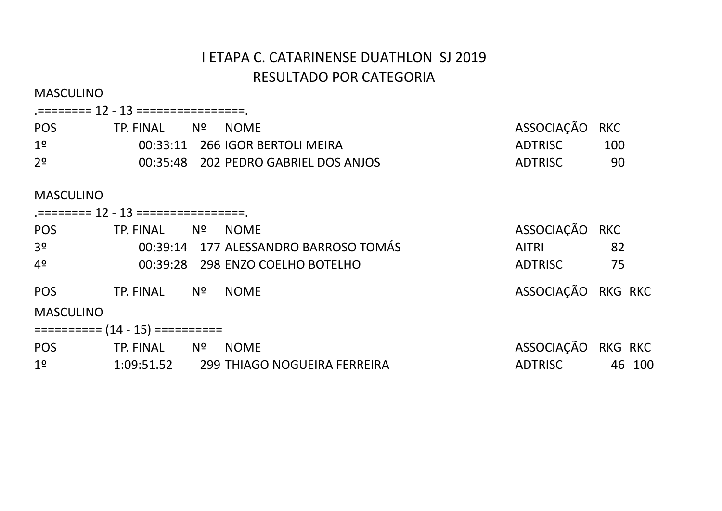| <b>MASCULINO</b> |                                         |                                         |                    |            |
|------------------|-----------------------------------------|-----------------------------------------|--------------------|------------|
|                  | .======== 12 - 13 =================.    |                                         |                    |            |
| <b>POS</b>       | TP. FINAL Nº NOME                       |                                         | ASSOCIAÇÃO         | <b>RKC</b> |
| 1 <sup>o</sup>   |                                         | 00:33:11 266 IGOR BERTOLI MEIRA         | ADTRISC            | 100        |
| 2 <sup>o</sup>   |                                         | 00:35:48 202 PEDRO GABRIEL DOS ANJOS    | ADTRISC            | -90        |
| <b>MASCULINO</b> |                                         |                                         |                    |            |
|                  | .======== 12 - 13 =================.    |                                         |                    |            |
| POS              | TP. FINAL Nº NOME                       |                                         | ASSOCIAÇÃO RKC     |            |
| 3 <sup>o</sup>   |                                         | 00:39:14 177 ALESSANDRO BARROSO TOMÁS   | <b>AITRI</b>       | 82         |
| 4º               |                                         | 00:39:28 298 ENZO COELHO BOTELHO        | <b>ADTRISC</b>     | 75         |
| <b>POS</b>       | TP. FINAL Nº NOME                       |                                         | ASSOCIAÇÃO RKG RKC |            |
| <b>MASCULINO</b> |                                         |                                         |                    |            |
|                  | $\equiv$ ========= (14 - 15) ========== |                                         |                    |            |
| <b>POS</b>       | TP. FINAL Nº                            | <b>NOME</b>                             | ASSOCIAÇÃO RKG RKC |            |
| 1 <sup>°</sup>   |                                         | 1:09:51.52 299 THIAGO NOGUEIRA FERREIRA | ADTRISC            | 46 100     |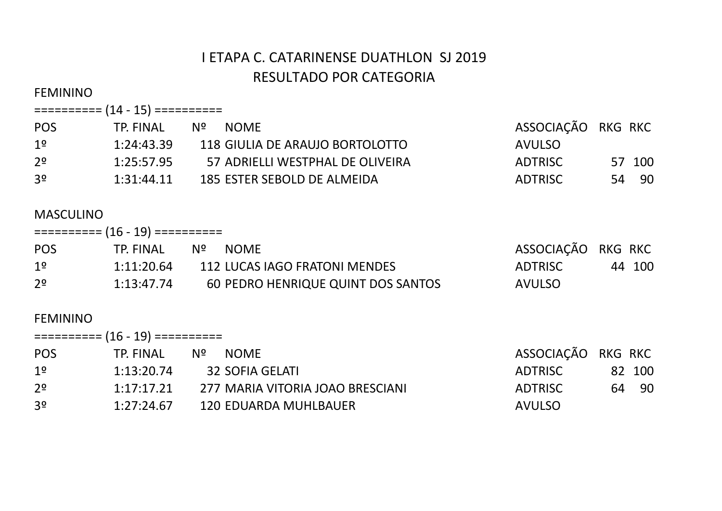#### FEMININO

### ========== (14 - 15) ==========

| <b>POS</b>     | TP. FINAL  | N º<br><b>NOME</b>               | ASSOCIAÇÃO RKG RKC |        |
|----------------|------------|----------------------------------|--------------------|--------|
| $1^{\circ}$    | 1:24:43.39 | 118 GIULIA DE ARAUJO BORTOLOTTO  | <b>AVULSO</b>      |        |
| 2 <sup>o</sup> | 1:25:57.95 | 57 ADRIELLI WESTPHAL DE OLIVEIRA | <b>ADTRISC</b>     | 57 100 |
| 3 <sup>o</sup> | 1:31:44.11 | 185 ESTER SEBOLD DE ALMEIDA      | ADTRISC            | 54 90  |

# MASCULINO

|                | ========== (16 - 19) ========== |    |                                    |                    |        |
|----------------|---------------------------------|----|------------------------------------|--------------------|--------|
| <b>POS</b>     | TP. FINAL                       | Nº | NOME                               | ASSOCIAÇÃO RKG RKC |        |
| 1 <sup>o</sup> | 1:11:20.64                      |    | 112 LUCAS IAGO FRATONI MENDES      | ADTRISC            | 44 100 |
| 2 <sup>o</sup> | 1:13:47.74                      |    | 60 PEDRO HENRIQUE QUINT DOS SANTOS | <b>AVULSO</b>      |        |

| ========== (16 - 19) ========== |            |    |                                  |                    |  |        |  |  |
|---------------------------------|------------|----|----------------------------------|--------------------|--|--------|--|--|
| <b>POS</b>                      | TP. FINAL  | Nº | <b>NOME</b>                      | ASSOCIAÇÃO RKG RKC |  |        |  |  |
| 1 <sup>o</sup>                  | 1:13:20.74 |    | 32 SOFIA GELATI                  | ADTRISC            |  | 82 100 |  |  |
| 2 <sup>o</sup>                  | 1:17:17.21 |    | 277 MARIA VITORIA JOAO BRESCIANI | <b>ADTRISC</b>     |  | 64 90  |  |  |
| 3 <sup>o</sup>                  | 1:27:24.67 |    | 120 EDUARDA MUHLBAUER            | <b>AVULSO</b>      |  |        |  |  |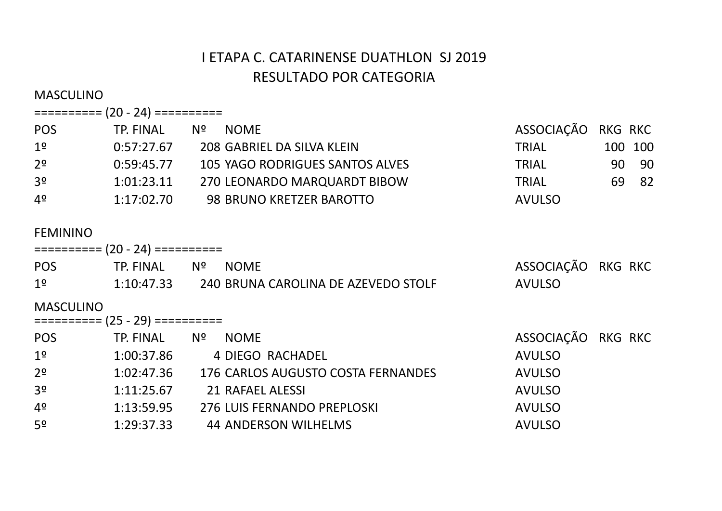MASCULINO

### ========== (20 - 24) ==========

| <b>POS</b>     | TP. FINAL  | Nº. | <b>NOME</b>                     | ASSOCIAÇÃO RKG RKC |         |
|----------------|------------|-----|---------------------------------|--------------------|---------|
| 1 <sup>o</sup> | 0:57:27.67 |     | 208 GABRIEL DA SILVA KLEIN      | <b>TRIAL</b>       | 100 100 |
| 2 <sup>o</sup> | 0:59:45.77 |     | 105 YAGO RODRIGUES SANTOS ALVES | TRIAL              | 90 90   |
| 3 <sup>o</sup> | 1:01:23.11 |     | 270 LEONARDO MARQUARDT BIBOW    | <b>TRIAL</b>       | 69 82   |
| 4º             | 1:17:02.70 |     | 98 BRUNO KRETZER BAROTTO        | <b>AVULSO</b>      |         |

| $\equiv$ ========= (20 - 24) ========== |                                   |                                     |                    |                |  |  |  |  |
|-----------------------------------------|-----------------------------------|-------------------------------------|--------------------|----------------|--|--|--|--|
| <b>POS</b>                              | TP. FINAL                         | Nº<br><b>NOME</b>                   | ASSOCIAÇÃO         | <b>RKG RKC</b> |  |  |  |  |
| 1 <sup>°</sup>                          | 1:10:47.33                        | 240 BRUNA CAROLINA DE AZEVEDO STOLF | <b>AVULSO</b>      |                |  |  |  |  |
| <b>MASCULINO</b>                        | ========== $(25 - 29)$ ========== |                                     |                    |                |  |  |  |  |
| <b>POS</b>                              | TP. FINAL                         | Nº<br><b>NOME</b>                   | ASSOCIAÇÃO RKG RKC |                |  |  |  |  |
| 1 <sup>°</sup>                          | 1:00:37.86                        | 4 DIEGO RACHADEL                    | <b>AVULSO</b>      |                |  |  |  |  |
| 2 <sup>o</sup>                          | 1:02:47.36                        | 176 CARLOS AUGUSTO COSTA FERNANDES  | <b>AVULSO</b>      |                |  |  |  |  |
| 3 <sup>o</sup>                          | 1:11:25.67                        | 21 RAFAEL ALESSI                    | <b>AVULSO</b>      |                |  |  |  |  |
| 4 <sup>o</sup>                          | 1:13:59.95                        | 276 LUIS FERNANDO PREPLOSKI         | <b>AVULSO</b>      |                |  |  |  |  |
| 5 <sup>o</sup>                          | 1:29:37.33                        | 44 ANDERSON WILHELMS                | <b>AVULSO</b>      |                |  |  |  |  |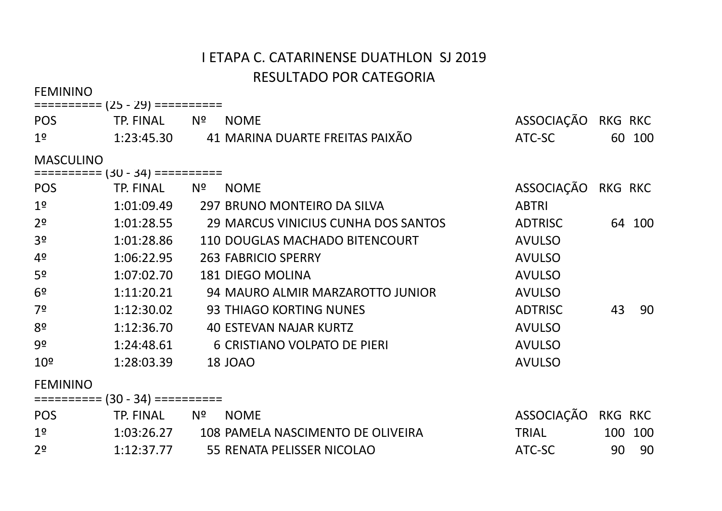**EEMININO** 

| <b>NOME</b>                                                                                                  |                                                                                                                                                                                                                                                                                                                                                                                                                                                                                                                                                                 |         |                                                                          |
|--------------------------------------------------------------------------------------------------------------|-----------------------------------------------------------------------------------------------------------------------------------------------------------------------------------------------------------------------------------------------------------------------------------------------------------------------------------------------------------------------------------------------------------------------------------------------------------------------------------------------------------------------------------------------------------------|---------|--------------------------------------------------------------------------|
|                                                                                                              |                                                                                                                                                                                                                                                                                                                                                                                                                                                                                                                                                                 |         | 60 100                                                                   |
|                                                                                                              |                                                                                                                                                                                                                                                                                                                                                                                                                                                                                                                                                                 |         |                                                                          |
|                                                                                                              |                                                                                                                                                                                                                                                                                                                                                                                                                                                                                                                                                                 |         |                                                                          |
|                                                                                                              |                                                                                                                                                                                                                                                                                                                                                                                                                                                                                                                                                                 |         |                                                                          |
|                                                                                                              | <b>ABTRI</b>                                                                                                                                                                                                                                                                                                                                                                                                                                                                                                                                                    |         |                                                                          |
|                                                                                                              | ADTRISC                                                                                                                                                                                                                                                                                                                                                                                                                                                                                                                                                         |         | 64 100                                                                   |
|                                                                                                              | <b>AVULSO</b>                                                                                                                                                                                                                                                                                                                                                                                                                                                                                                                                                   |         |                                                                          |
|                                                                                                              | <b>AVULSO</b>                                                                                                                                                                                                                                                                                                                                                                                                                                                                                                                                                   |         |                                                                          |
|                                                                                                              | <b>AVULSO</b>                                                                                                                                                                                                                                                                                                                                                                                                                                                                                                                                                   |         |                                                                          |
|                                                                                                              | <b>AVULSO</b>                                                                                                                                                                                                                                                                                                                                                                                                                                                                                                                                                   |         |                                                                          |
|                                                                                                              | <b>ADTRISC</b>                                                                                                                                                                                                                                                                                                                                                                                                                                                                                                                                                  | 43      | - 90                                                                     |
|                                                                                                              | <b>AVULSO</b>                                                                                                                                                                                                                                                                                                                                                                                                                                                                                                                                                   |         |                                                                          |
|                                                                                                              | <b>AVULSO</b>                                                                                                                                                                                                                                                                                                                                                                                                                                                                                                                                                   |         |                                                                          |
|                                                                                                              | <b>AVULSO</b>                                                                                                                                                                                                                                                                                                                                                                                                                                                                                                                                                   |         |                                                                          |
|                                                                                                              |                                                                                                                                                                                                                                                                                                                                                                                                                                                                                                                                                                 |         |                                                                          |
|                                                                                                              |                                                                                                                                                                                                                                                                                                                                                                                                                                                                                                                                                                 |         |                                                                          |
| <b>NOME</b>                                                                                                  |                                                                                                                                                                                                                                                                                                                                                                                                                                                                                                                                                                 |         |                                                                          |
|                                                                                                              | <b>TRIAL</b>                                                                                                                                                                                                                                                                                                                                                                                                                                                                                                                                                    | 100 100 |                                                                          |
| 1:01:28.86<br>1:06:22.95<br>1:07:02.70<br>1:11:20.21<br>1:12:30.02<br>1:12:36.70<br>1:24:48.61<br>1:28:03.39 | TP. FINAL Nº<br>1:23:45.30 41 MARINA DUARTE FREITAS PAIXÃO<br>========== (30 - 34) ==========<br>TP. FINAL Nº NOME<br>1:01:09.49 297 BRUNO MONTEIRO DA SILVA<br>1:01:28.55 29 MARCUS VINICIUS CUNHA DOS SANTOS<br>110 DOUGLAS MACHADO BITENCOURT<br><b>263 FABRICIO SPERRY</b><br><b>181 DIEGO MOLINA</b><br>94 MAURO ALMIR MARZAROTTO JUNIOR<br>93 THIAGO KORTING NUNES<br>40 ESTEVAN NAJAR KURTZ<br>6 CRISTIANO VOLPATO DE PIERI<br><b>18 JOAO</b><br>$\equiv$ ========= (30 - 34) ==========<br>TP. FINAL Nº<br>1:03:26.27 108 PAMELA NASCIMENTO DE OLIVEIRA |         | ASSOCIAÇÃO RKG RKC<br>ATC-SC<br>ASSOCIAÇÃO RKG RKC<br>ASSOCIAÇÃO RKG RKC |

2º 1:12:37.77 55 RENATA PELISSER NICOLAO 67 ATC-SC 90 90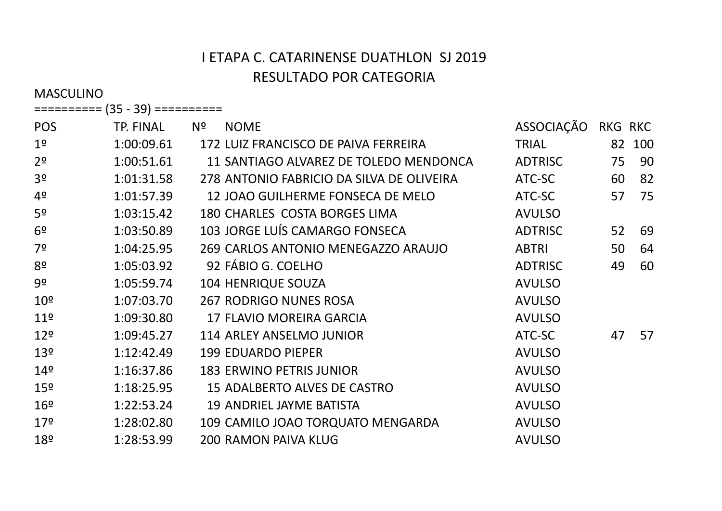MASCULINO

 ========== (35 - 39) ========== 

| <b>POS</b>      | TP. FINAL  | Nº | <b>NOME</b>                               | ASSOCIAÇÃO     | <b>RKG RKC</b> |     |
|-----------------|------------|----|-------------------------------------------|----------------|----------------|-----|
| 1 <sup>o</sup>  | 1:00:09.61 |    | 172 LUIZ FRANCISCO DE PAIVA FERREIRA      | <b>TRIAL</b>   | 82             | 100 |
| 2 <sup>o</sup>  | 1:00:51.61 |    | 11 SANTIAGO ALVAREZ DE TOLEDO MENDONCA    | <b>ADTRISC</b> | 75             | 90  |
| 3 <sup>o</sup>  | 1:01:31.58 |    | 278 ANTONIO FABRICIO DA SILVA DE OLIVEIRA | ATC-SC         | 60             | 82  |
| 4º              | 1:01:57.39 |    | 12 JOAO GUILHERME FONSECA DE MELO         | ATC-SC         | 57             | 75  |
| 5 <sup>o</sup>  | 1:03:15.42 |    | 180 CHARLES COSTA BORGES LIMA             | <b>AVULSO</b>  |                |     |
| 6 <sup>9</sup>  | 1:03:50.89 |    | 103 JORGE LUÍS CAMARGO FONSECA            | <b>ADTRISC</b> | 52             | 69  |
| 7º              | 1:04:25.95 |    | 269 CARLOS ANTONIO MENEGAZZO ARAUJO       | <b>ABTRI</b>   | 50             | 64  |
| 8 <sup>o</sup>  | 1:05:03.92 |    | 92 FÁBIO G. COELHO                        | <b>ADTRISC</b> | 49             | 60  |
| 9º              | 1:05:59.74 |    | 104 HENRIQUE SOUZA                        | <b>AVULSO</b>  |                |     |
| 10 <sup>°</sup> | 1:07:03.70 |    | <b>267 RODRIGO NUNES ROSA</b>             | <b>AVULSO</b>  |                |     |
| 11 <sup>°</sup> | 1:09:30.80 |    | 17 FLAVIO MOREIRA GARCIA                  | <b>AVULSO</b>  |                |     |
| 12 <sup>°</sup> | 1:09:45.27 |    | 114 ARLEY ANSELMO JUNIOR                  | ATC-SC         | 47             | 57  |
| 13 <sup>°</sup> | 1:12:42.49 |    | <b>199 EDUARDO PIEPER</b>                 | <b>AVULSO</b>  |                |     |
| 14 <sup>°</sup> | 1:16:37.86 |    | <b>183 ERWINO PETRIS JUNIOR</b>           | <b>AVULSO</b>  |                |     |
| 15 <sup>°</sup> | 1:18:25.95 |    | 15 ADALBERTO ALVES DE CASTRO              | <b>AVULSO</b>  |                |     |
| 16º             | 1:22:53.24 |    | <b>19 ANDRIEL JAYME BATISTA</b>           | <b>AVULSO</b>  |                |     |
| 17 <sup>°</sup> | 1:28:02.80 |    | 109 CAMILO JOAO TORQUATO MENGARDA         | <b>AVULSO</b>  |                |     |
| 18º             | 1:28:53.99 |    | <b>200 RAMON PAIVA KLUG</b>               | <b>AVULSO</b>  |                |     |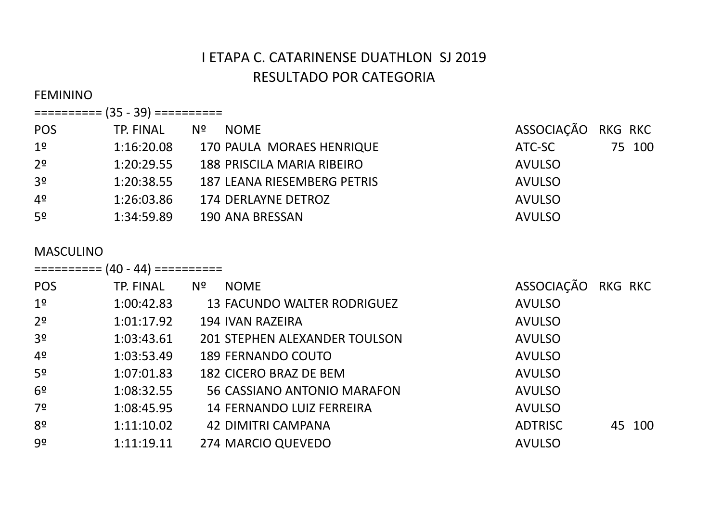#### FEMININO

| ========== (35 - 39) == |  | --------<br>------ |
|-------------------------|--|--------------------|
|-------------------------|--|--------------------|

| <b>POS</b>     | TP. FINAL  | NOME<br>Nº.                 | ASSOCIAÇÃO RKG RKC |        |
|----------------|------------|-----------------------------|--------------------|--------|
| 1 <sup>o</sup> | 1:16:20.08 | 170 PAULA MORAES HENRIQUE   | ATC-SC             | 75 100 |
| 2 <sup>o</sup> | 1:20:29.55 | 188 PRISCILA MARIA RIBEIRO  | <b>AVULSO</b>      |        |
| 3 <sup>o</sup> | 1:20:38.55 | 187 LEANA RIESEMBERG PETRIS | <b>AVULSO</b>      |        |
| 4º             | 1:26:03.86 | 174 DERLAYNE DETROZ         | <b>AVULSO</b>      |        |
| 5º             | 1:34:59.89 | 190 ANA BRESSAN             | <b>AVULSO</b>      |        |

#### MASCULINO

 ========== (40 - 44) ========== 

| <b>POS</b>     | TP. FINAL  | Nº | <b>NOME</b>                          | ASSOCIAÇÃO     | <b>RKG RKC</b> |
|----------------|------------|----|--------------------------------------|----------------|----------------|
| 1 <sup>o</sup> | 1:00:42.83 |    | <b>13 FACUNDO WALTER RODRIGUEZ</b>   | <b>AVULSO</b>  |                |
| 2 <sup>o</sup> | 1:01:17.92 |    | 194 IVAN RAZEIRA                     | <b>AVULSO</b>  |                |
| 3 <sup>o</sup> | 1:03:43.61 |    | <b>201 STEPHEN ALEXANDER TOULSON</b> | <b>AVULSO</b>  |                |
| 4 <sup>o</sup> | 1:03:53.49 |    | <b>189 FERNANDO COUTO</b>            | <b>AVULSO</b>  |                |
| 5 <sup>o</sup> | 1:07:01.83 |    | 182 CICERO BRAZ DE BEM               | <b>AVULSO</b>  |                |
| 6 <sup>o</sup> | 1:08:32.55 |    | 56 CASSIANO ANTONIO MARAFON          | <b>AVULSO</b>  |                |
| 7 <sup>o</sup> | 1:08:45.95 |    | <b>14 FERNANDO LUIZ FERREIRA</b>     | <b>AVULSO</b>  |                |
| 8º             | 1:11:10.02 |    | <b>42 DIMITRI CAMPANA</b>            | <b>ADTRISC</b> | 45 100         |
| 9º             | 1:11:19.11 |    | 274 MARCIO QUEVEDO                   | <b>AVULSO</b>  |                |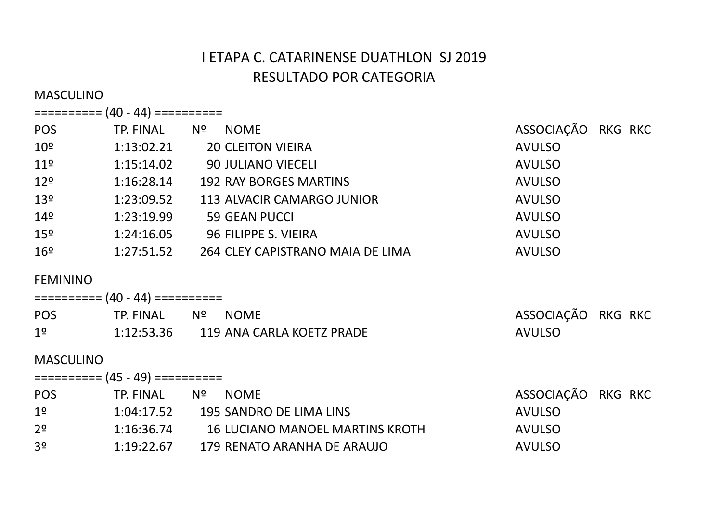MASCULINO

 ========== (40 - 44) ========== 

 ========== (45 - 49) ========== 

| <b>POS</b>      | TP. FINAL  | Nº<br><b>NOME</b>                | ASSOCIAÇÃO RKG RKC |
|-----------------|------------|----------------------------------|--------------------|
| $10^{\circ}$    | 1:13:02.21 | <b>20 CLEITON VIEIRA</b>         | <b>AVULSO</b>      |
| 11 <sup>°</sup> | 1:15:14.02 | 90 JULIANO VIECELI               | <b>AVULSO</b>      |
| 12 <sup>°</sup> | 1:16:28.14 | <b>192 RAY BORGES MARTINS</b>    | <b>AVULSO</b>      |
| 13 <sup>°</sup> | 1:23:09.52 | 113 ALVACIR CAMARGO JUNIOR       | <b>AVULSO</b>      |
| 14 <sup>°</sup> | 1:23:19.99 | <b>59 GEAN PUCCI</b>             | <b>AVULSO</b>      |
| 15 <sup>°</sup> | 1:24:16.05 | 96 FILIPPE S. VIEIRA             | <b>AVULSO</b>      |
| 16 <sup>°</sup> | 1:27:51.52 | 264 CLEY CAPISTRANO MAIA DE LIMA | <b>AVULSO</b>      |

### FEMININO

| <b>POS</b>     | TP. FINAL Nº NOME |  |                                      | ASSOCIAÇÃO RKG RKC |  |  |  |
|----------------|-------------------|--|--------------------------------------|--------------------|--|--|--|
| 1 <sup>o</sup> |                   |  | 1:12:53.36 119 ANA CARLA KOETZ PRADE | <b>AVULSO</b>      |  |  |  |

#### MASCULINO

| <b>POS</b>     | TP. FINAL  | Nº. | <b>NOME</b>                     | ASSOCIAÇÃO RKG RKC |  |  |
|----------------|------------|-----|---------------------------------|--------------------|--|--|
| 1 <sup>o</sup> | 1:04:17.52 |     | 195 SANDRO DE LIMA LINS         | AVULSO             |  |  |
| 2 <sup>o</sup> | 1:16:36.74 |     | 16 LUCIANO MANOEL MARTINS KROTH | AVULSO             |  |  |
| -3º            | 1:19:22.67 |     | 179 RENATO ARANHA DE ARAUJO     | <b>AVULSO</b>      |  |  |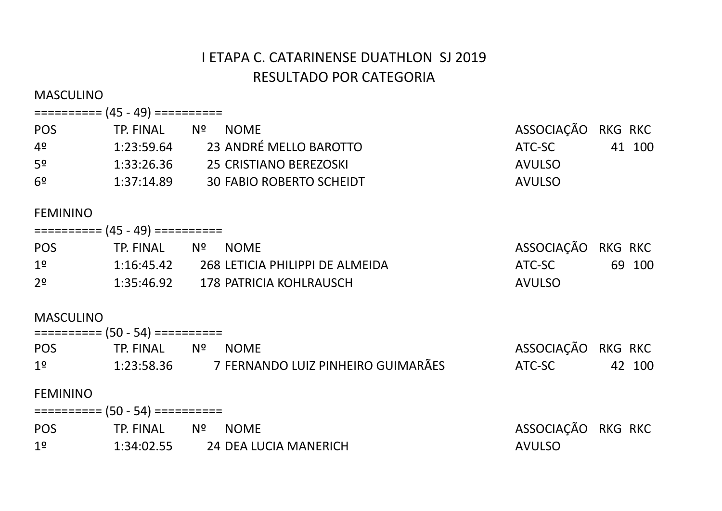MASCULINO

### ========== (45 - 49) ==========

| <b>POS</b>     | Nº.<br>TP. FINAL | <b>NOME</b>                     | ASSOCIAÇÃO RKG RKC |        |
|----------------|------------------|---------------------------------|--------------------|--------|
| 4º             | 1:23:59.64       | 23 ANDRÉ MELLO BAROTTO          | ATC-SC             | 41 100 |
| 5 <sup>o</sup> | 1:33:26.36       | 25 CRISTIANO BEREZOSKI          | AVULSO             |        |
| 6º             | 1:37:14.89       | <b>30 FABIO ROBERTO SCHEIDT</b> | AVULSO             |        |

#### FEMININO

| <b>POS</b>     | TP. FINAL Nº NOME |  |                                 | ASSOCIAÇÃO RKG RKC |  |        |  |
|----------------|-------------------|--|---------------------------------|--------------------|--|--------|--|
| 1 <sup>o</sup> | 1:16:45.42        |  | 268 LETICIA PHILIPPI DE ALMEIDA | ATC-SC             |  | 69 100 |  |
| 2 <sup>o</sup> | 1:35:46.92        |  | 178 PATRICIA KOHLRAUSCH         | AVULSO             |  |        |  |

#### MASCULINO

| ========== (50 - 54) ========== |                   |  |                                    |  |                    |  |        |
|---------------------------------|-------------------|--|------------------------------------|--|--------------------|--|--------|
| <b>POS</b>                      | TP. FINAL Nº NOME |  |                                    |  | ASSOCIAÇÃO RKG RKC |  |        |
| 1 <sup>o</sup>                  | 1:23:58.36        |  | 7 FERNANDO LUIZ PINHEIRO GUIMARÃES |  | ATC-SC             |  | 42 100 |
| F F R A B B B A B A             |                   |  |                                    |  |                    |  |        |

| ========== (50 - 54) ========== |  |                                  |                    |  |
|---------------------------------|--|----------------------------------|--------------------|--|
| <b>POS</b>                      |  | TP. FINAL Nº NOME                | ASSOCIAÇÃO RKG RKC |  |
| 19                              |  | 1:34:02.55 24 DEA LUCIA MANERICH | AVULSO             |  |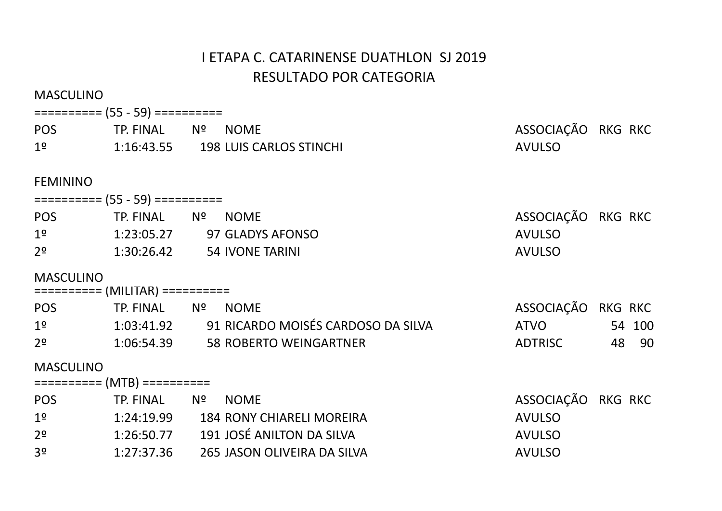| <b>MASCULINO</b> |                                 |                                                  |                    |        |
|------------------|---------------------------------|--------------------------------------------------|--------------------|--------|
|                  | ========== (55 - 59) ========== |                                                  |                    |        |
|                  | POS TP. FINAL Nº                | <b>NOME</b>                                      | ASSOCIAÇÃO RKG RKC |        |
| 1 <sup>°</sup>   |                                 | 1:16:43.55 198 LUIS CARLOS STINCHI               | <b>AVULSO</b>      |        |
| <b>FEMININO</b>  |                                 |                                                  |                    |        |
|                  | ========== (55 - 59) ========== |                                                  |                    |        |
| POS <b>POS</b>   | TP. FINAL Nº                    | <b>NOME</b>                                      | ASSOCIAÇÃO RKG RKC |        |
| 1 <sup>o</sup>   |                                 | 1:23:05.27 97 GLADYS AFONSO                      | <b>AVULSO</b>      |        |
| 2 <sup>o</sup>   | 1:30:26.42 54 IVONE TARINI      |                                                  | <b>AVULSO</b>      |        |
| <b>MASCULINO</b> | ========== (MILITAR) ========== |                                                  |                    |        |
|                  | POS TP. FINAL Nº                | <b>NOME</b>                                      | ASSOCIAÇÃO RKG RKC |        |
|                  |                                 | 1º 1:03:41.92 91 RICARDO MOISÉS CARDOSO DA SILVA | <b>ATVO</b>        | 54 100 |
| 2 <sup>o</sup>   |                                 | 1:06:54.39 58 ROBERTO WEINGARTNER                | <b>ADTRISC</b>     | 48 90  |
| <b>MASCULINO</b> |                                 |                                                  |                    |        |
|                  | ========== (MTB) ==========     |                                                  |                    |        |
| <b>POS</b>       | TP. FINAL Nº                    | <b>NOME</b>                                      | ASSOCIAÇÃO RKG RKC |        |
| 1 <sup>o</sup>   |                                 | 1:24:19.99 184 RONY CHIARELI MOREIRA             | <b>AVULSO</b>      |        |
| 2 <sup>o</sup>   |                                 | 1:26:50.77 191 JOSÉ ANILTON DA SILVA             | <b>AVULSO</b>      |        |
| 3 <sup>o</sup>   | 1:27:37.36                      | 265 JASON OLIVEIRA DA SILVA                      | <b>AVULSO</b>      |        |